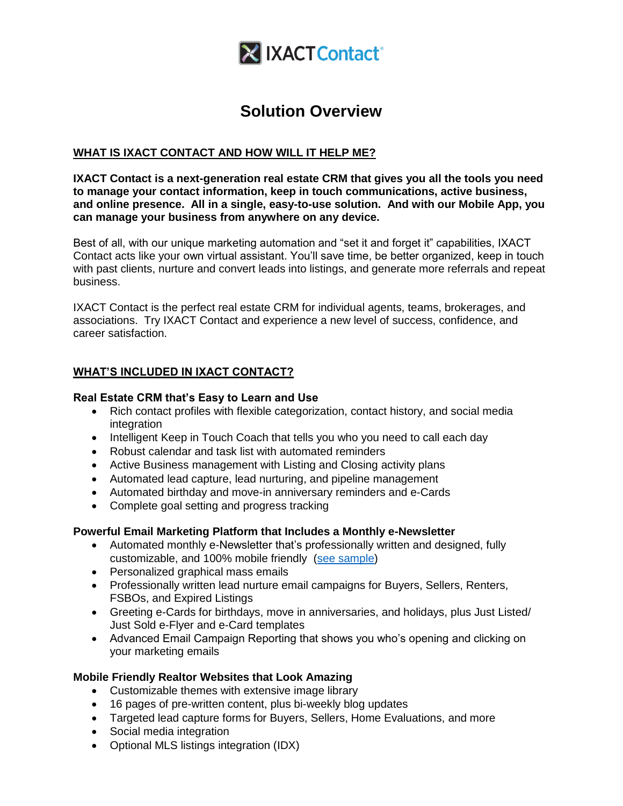

# **Solution Overview**

### **WHAT IS IXACT CONTACT AND HOW WILL IT HELP ME?**

**IXACT Contact is a next-generation real estate CRM that gives you all the tools you need to manage your contact information, keep in touch communications, active business, and online presence. All in a single, easy-to-use solution. And with our Mobile App, you can manage your business from anywhere on any device.**

Best of all, with our unique marketing automation and "set it and forget it" capabilities, IXACT Contact acts like your own virtual assistant. You'll save time, be better organized, keep in touch with past clients, nurture and convert leads into listings, and generate more referrals and repeat business.

IXACT Contact is the perfect real estate CRM for individual agents, teams, brokerages, and associations. Try IXACT Contact and experience a new level of success, confidence, and career satisfaction.

### **WHAT'S INCLUDED IN IXACT CONTACT?**

#### **Real Estate CRM that's Easy to Learn and Use**

- Rich contact profiles with flexible categorization, contact history, and social media integration
- Intelligent Keep in Touch Coach that tells you who you need to call each day
- Robust calendar and task list with automated reminders
- Active Business management with Listing and Closing activity plans
- Automated lead capture, lead nurturing, and pipeline management
- Automated birthday and move-in anniversary reminders and e-Cards
- Complete goal setting and progress tracking

#### **Powerful Email Marketing Platform that Includes a Monthly e-Newsletter**

- Automated monthly e-Newsletter that's professionally written and designed, fully customizable, and 100% mobile friendly [\(see sample\)](https://www.ixactcontact.com/wp-content/themes/ixact-brand/assets/enewslettersample.html)
- Personalized graphical mass emails
- Professionally written lead nurture email campaigns for Buyers, Sellers, Renters, FSBOs, and Expired Listings
- Greeting e-Cards for birthdays, move in anniversaries, and holidays, plus Just Listed/ Just Sold e-Flyer and e-Card templates
- Advanced Email Campaign Reporting that shows you who's opening and clicking on your marketing emails

#### **Mobile Friendly Realtor Websites that Look Amazing**

- Customizable themes with extensive image library
- 16 pages of pre-written content, plus bi-weekly blog updates
- Targeted lead capture forms for Buyers, Sellers, Home Evaluations, and more
- Social media integration
- Optional MLS listings integration (IDX)